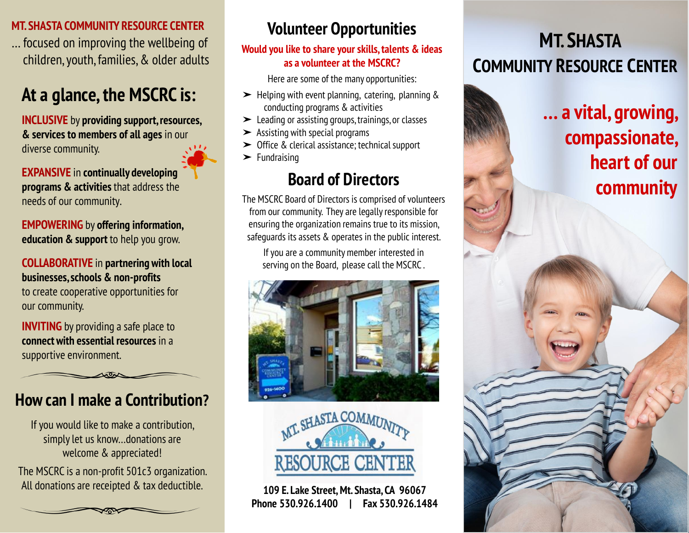#### **MT. SHASTA COMMUNITY RESOURCE CENTER**

… focused on improving the wellbeing of children, youth, families, & older adults

## **At a glance, the MSCRC is:**

**INCLUSIVE** by **providing support, resources, & services to members of all ages** in our diverse community.

**EXPANSIVE** in **continually developing programs & activities** that address the needs of our community.

**EMPOWERING** by **offering information, education & support** to help you grow.

#### **COLLABORATIVE** in **partnering with local businesses, schools & non-profits**

to create cooperative opportunities for our community.

**INVITING** by providing a safe place to **connect with essential resources** in a supportive environment.

## **How can I make a Contribution?**

If you would like to make a contribution, simply let us know…donations are welcome & appreciated!

The MSCRC is a non-profit 501c3 organization. All donations are receipted & tax deductible.

## **Volunteer Opportunities**

#### **Would you like to share your skills, talents & ideas as a volunteer at the MSCRC?**

Here are some of the many opportunities:

- $\blacktriangleright$  Helping with event planning, catering, planning & conducting programs & activities
- ➤ Leading or assisting groups, trainings, or classes
- $\blacktriangleright$  Assisting with special programs
- ➤ Office & clerical assistance; technical support
- ➤ Fundraising

## **Board of Directors**

The MSCRC Board of Directors is comprised of volunteers from our community. They are legally responsible for ensuring the organization remains true to its mission, safeguards its assets & operates in the public interest.

If you are a community member interested in serving on the Board, please call the MSCRC .





**109 E. Lake Street, Mt. Shasta, CA 96067 Phone 530.926.1400 | Fax 530.926.1484**

# **MT. SHASTA COMMUNITY RESOURCE CENTER**

**… a vital, growing, compassionate, heart of our community**